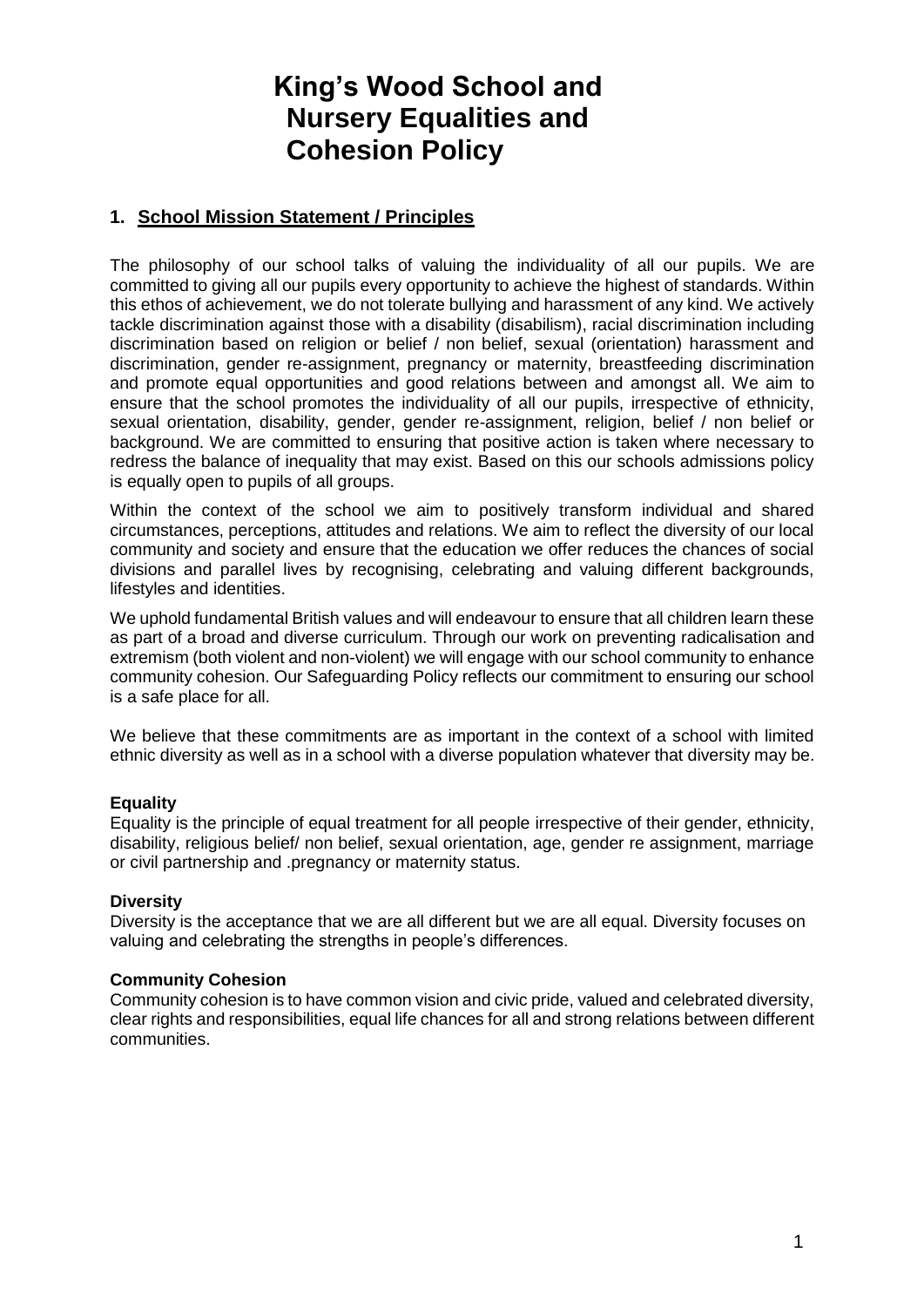# **King's Wood School and Nursery Equalities and Cohesion Policy**

# **1. School Mission Statement / Principles**

The philosophy of our school talks of valuing the individuality of all our pupils. We are committed to giving all our pupils every opportunity to achieve the highest of standards. Within this ethos of achievement, we do not tolerate bullying and harassment of any kind. We actively tackle discrimination against those with a disability (disabilism), racial discrimination including discrimination based on religion or belief / non belief, sexual (orientation) harassment and discrimination, gender re-assignment, pregnancy or maternity, breastfeeding discrimination and promote equal opportunities and good relations between and amongst all. We aim to ensure that the school promotes the individuality of all our pupils, irrespective of ethnicity, sexual orientation, disability, gender, gender re-assignment, religion, belief / non belief or background. We are committed to ensuring that positive action is taken where necessary to redress the balance of inequality that may exist. Based on this our schools admissions policy is equally open to pupils of all groups.

Within the context of the school we aim to positively transform individual and shared circumstances, perceptions, attitudes and relations. We aim to reflect the diversity of our local community and society and ensure that the education we offer reduces the chances of social divisions and parallel lives by recognising, celebrating and valuing different backgrounds, lifestyles and identities.

We uphold fundamental British values and will endeavour to ensure that all children learn these as part of a broad and diverse curriculum. Through our work on preventing radicalisation and extremism (both violent and non-violent) we will engage with our school community to enhance community cohesion. Our Safeguarding Policy reflects our commitment to ensuring our school is a safe place for all.

We believe that these commitments are as important in the context of a school with limited ethnic diversity as well as in a school with a diverse population whatever that diversity may be.

### **Equality**

Equality is the principle of equal treatment for all people irrespective of their gender, ethnicity, disability, religious belief/ non belief, sexual orientation, age, gender re assignment, marriage or civil partnership and .pregnancy or maternity status.

### **Diversity**

Diversity is the acceptance that we are all different but we are all equal. Diversity focuses on valuing and celebrating the strengths in people's differences.

#### **Community Cohesion**

Community cohesion is to have common vision and civic pride, valued and celebrated diversity, clear rights and responsibilities, equal life chances for all and strong relations between different communities.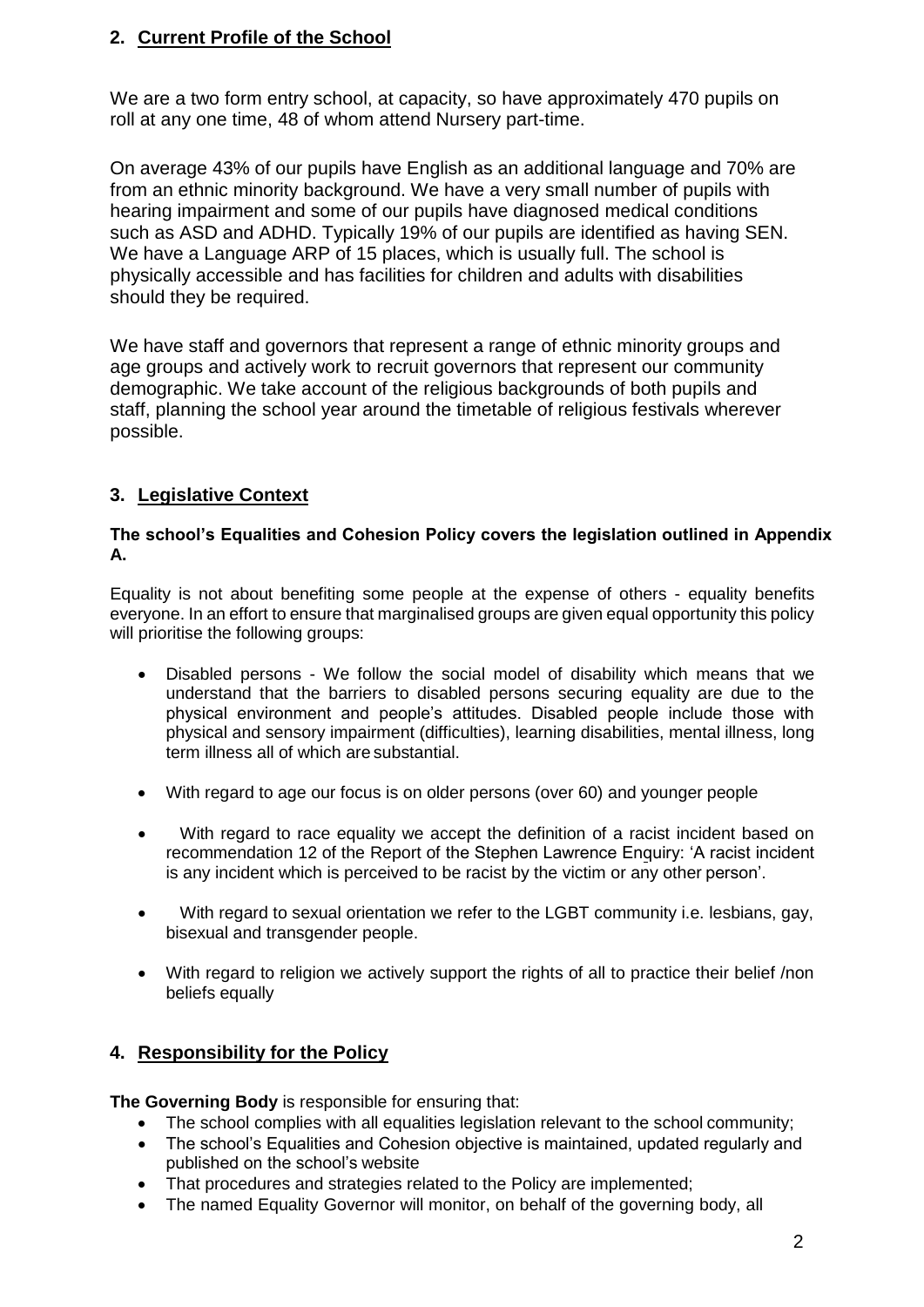# **2. Current Profile of the School**

We are a two form entry school, at capacity, so have approximately 470 pupils on roll at any one time, 48 of whom attend Nursery part-time.

On average 43% of our pupils have English as an additional language and 70% are from an ethnic minority background. We have a very small number of pupils with hearing impairment and some of our pupils have diagnosed medical conditions such as ASD and ADHD. Typically 19% of our pupils are identified as having SEN. We have a Language ARP of 15 places, which is usually full. The school is physically accessible and has facilities for children and adults with disabilities should they be required.

We have staff and governors that represent a range of ethnic minority groups and age groups and actively work to recruit governors that represent our community demographic. We take account of the religious backgrounds of both pupils and staff, planning the school year around the timetable of religious festivals wherever possible.

# **3. Legislative Context**

### **The school's Equalities and Cohesion Policy covers the legislation outlined in Appendix A.**

Equality is not about benefiting some people at the expense of others - equality benefits everyone. In an effort to ensure that marginalised groups are given equal opportunity this policy will prioritise the following groups:

- Disabled persons We follow the social model of disability which means that we understand that the barriers to disabled persons securing equality are due to the physical environment and people's attitudes. Disabled people include those with physical and sensory impairment (difficulties), learning disabilities, mental illness, long term illness all of which are substantial.
- With regard to age our focus is on older persons (over 60) and younger people
- With regard to race equality we accept the definition of a racist incident based on recommendation 12 of the Report of the Stephen Lawrence Enquiry: 'A racist incident is any incident which is perceived to be racist by the victim or any other person'.
- With regard to sexual orientation we refer to the LGBT community i.e. lesbians, gay, bisexual and transgender people.
- With regard to religion we actively support the rights of all to practice their belief /non beliefs equally

# **4. Responsibility for the Policy**

**The Governing Body** is responsible for ensuring that:

- The school complies with all equalities legislation relevant to the school community;
- The school's Equalities and Cohesion objective is maintained, updated regularly and published on the school's website
- That procedures and strategies related to the Policy are implemented;
- The named Equality Governor will monitor, on behalf of the governing body, all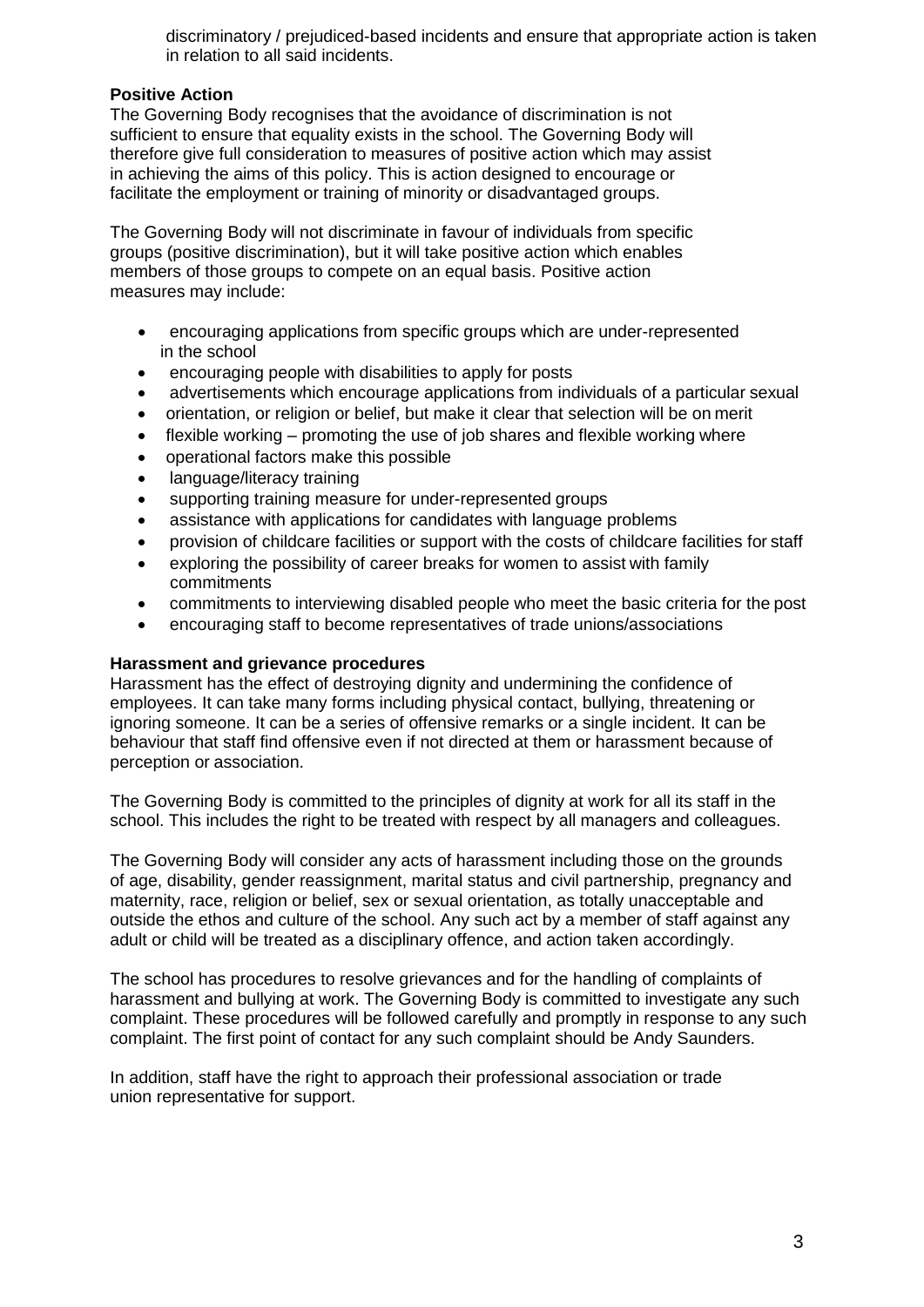discriminatory / prejudiced-based incidents and ensure that appropriate action is taken in relation to all said incidents.

### **Positive Action**

The Governing Body recognises that the avoidance of discrimination is not sufficient to ensure that equality exists in the school. The Governing Body will therefore give full consideration to measures of positive action which may assist in achieving the aims of this policy. This is action designed to encourage or facilitate the employment or training of minority or disadvantaged groups.

The Governing Body will not discriminate in favour of individuals from specific groups (positive discrimination), but it will take positive action which enables members of those groups to compete on an equal basis. Positive action measures may include:

- encouraging applications from specific groups which are under-represented in the school
- encouraging people with disabilities to apply for posts
- advertisements which encourage applications from individuals of a particular sexual
- orientation, or religion or belief, but make it clear that selection will be on merit
- flexible working promoting the use of job shares and flexible working where
- operational factors make this possible
- language/literacy training
- supporting training measure for under-represented groups
- assistance with applications for candidates with language problems
- provision of childcare facilities or support with the costs of childcare facilities for staff
- exploring the possibility of career breaks for women to assist with family commitments
- commitments to interviewing disabled people who meet the basic criteria for the post
- encouraging staff to become representatives of trade unions/associations

### **Harassment and grievance procedures**

Harassment has the effect of destroying dignity and undermining the confidence of employees. It can take many forms including physical contact, bullying, threatening or ignoring someone. It can be a series of offensive remarks or a single incident. It can be behaviour that staff find offensive even if not directed at them or harassment because of perception or association.

The Governing Body is committed to the principles of dignity at work for all its staff in the school. This includes the right to be treated with respect by all managers and colleagues.

The Governing Body will consider any acts of harassment including those on the grounds of age, disability, gender reassignment, marital status and civil partnership, pregnancy and maternity, race, religion or belief, sex or sexual orientation, as totally unacceptable and outside the ethos and culture of the school. Any such act by a member of staff against any adult or child will be treated as a disciplinary offence, and action taken accordingly.

The school has procedures to resolve grievances and for the handling of complaints of harassment and bullying at work. The Governing Body is committed to investigate any such complaint. These procedures will be followed carefully and promptly in response to any such complaint. The first point of contact for any such complaint should be Andy Saunders.

In addition, staff have the right to approach their professional association or trade union representative for support.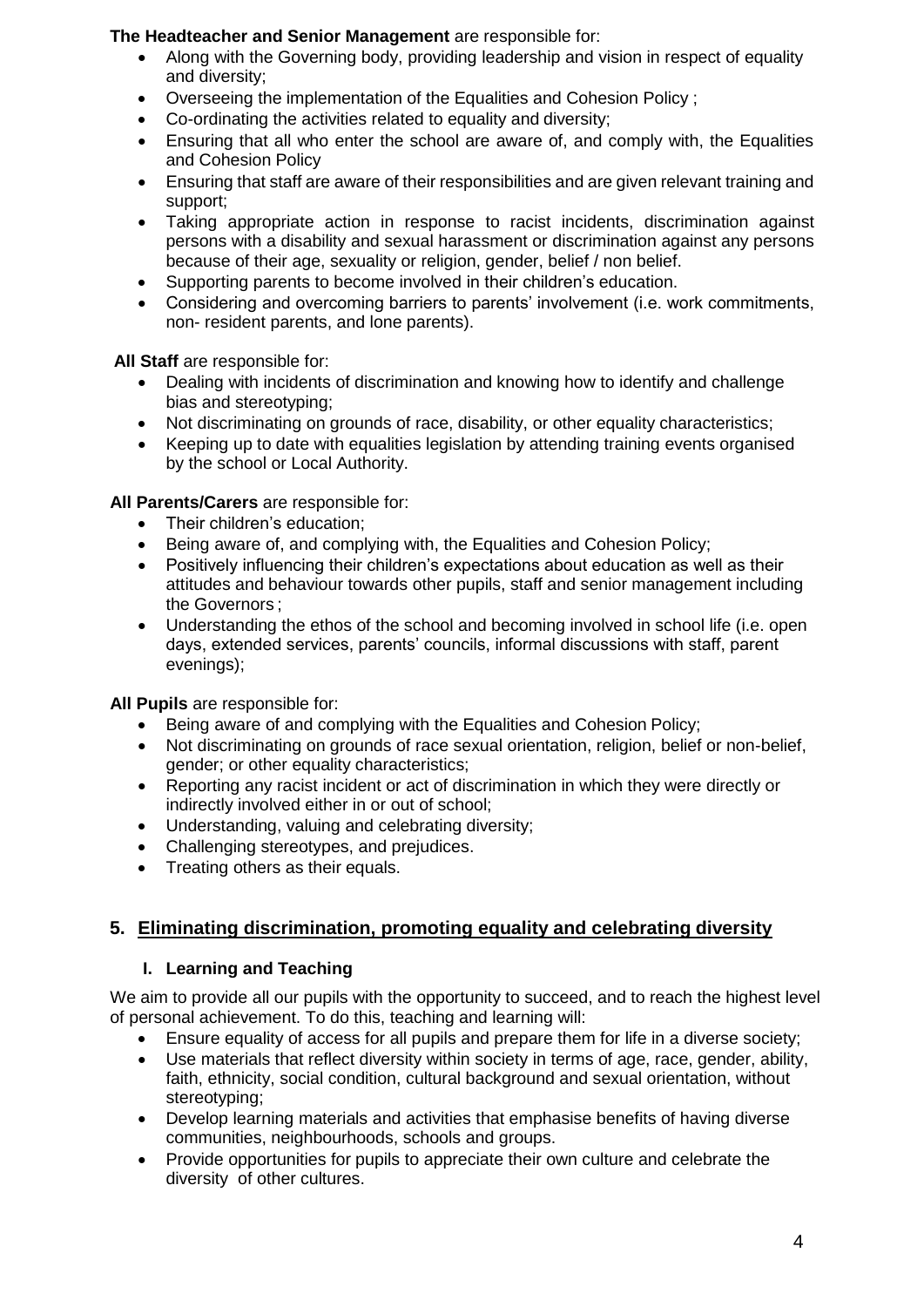### **The Headteacher and Senior Management** are responsible for:

- Along with the Governing body, providing leadership and vision in respect of equality and diversity;
- Overseeing the implementation of the Equalities and Cohesion Policy ;
- Co-ordinating the activities related to equality and diversity;
- Ensuring that all who enter the school are aware of, and comply with, the Equalities and Cohesion Policy
- Ensuring that staff are aware of their responsibilities and are given relevant training and support;
- Taking appropriate action in response to racist incidents, discrimination against persons with a disability and sexual harassment or discrimination against any persons because of their age, sexuality or religion, gender, belief / non belief.
- Supporting parents to become involved in their children's education.
- Considering and overcoming barriers to parents' involvement (i.e. work commitments, non- resident parents, and lone parents).

**All Staff** are responsible for:

- Dealing with incidents of discrimination and knowing how to identify and challenge bias and stereotyping;
- Not discriminating on grounds of race, disability, or other equality characteristics;
- Keeping up to date with equalities legislation by attending training events organised by the school or Local Authority.

**All Parents/Carers** are responsible for:

- Their children's education;
- Being aware of, and complying with, the Equalities and Cohesion Policy;
- Positively influencing their children's expectations about education as well as their attitudes and behaviour towards other pupils, staff and senior management including the Governors ;
- Understanding the ethos of the school and becoming involved in school life (i.e. open days, extended services, parents' councils, informal discussions with staff, parent evenings);

**All Pupils** are responsible for:

- Being aware of and complying with the Equalities and Cohesion Policy;
- Not discriminating on grounds of race sexual orientation, religion, belief or non-belief, gender; or other equality characteristics;
- Reporting any racist incident or act of discrimination in which they were directly or indirectly involved either in or out of school;
- Understanding, valuing and celebrating diversity;
- Challenging stereotypes, and prejudices.
- Treating others as their equals.

# **5. Eliminating discrimination, promoting equality and celebrating diversity**

# **I. Learning and Teaching**

We aim to provide all our pupils with the opportunity to succeed, and to reach the highest level of personal achievement. To do this, teaching and learning will:

- Ensure equality of access for all pupils and prepare them for life in a diverse society;
- Use materials that reflect diversity within society in terms of age, race, gender, ability, faith, ethnicity, social condition, cultural background and sexual orientation, without stereotyping;
- Develop learning materials and activities that emphasise benefits of having diverse communities, neighbourhoods, schools and groups.
- Provide opportunities for pupils to appreciate their own culture and celebrate the diversity of other cultures.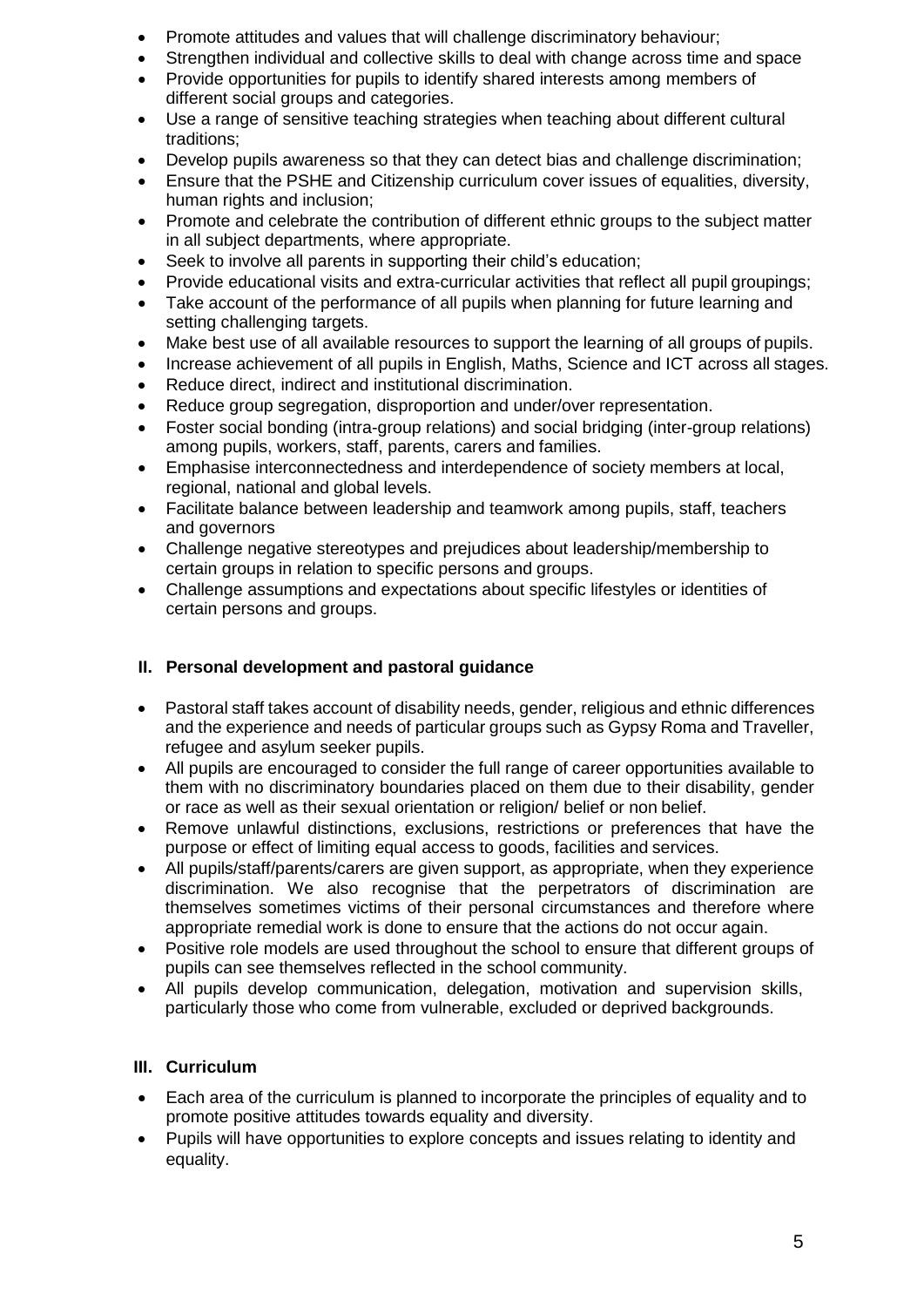- Promote attitudes and values that will challenge discriminatory behaviour;
- Strengthen individual and collective skills to deal with change across time and space
- Provide opportunities for pupils to identify shared interests among members of different social groups and categories.
- Use a range of sensitive teaching strategies when teaching about different cultural traditions;
- Develop pupils awareness so that they can detect bias and challenge discrimination;
- Ensure that the PSHE and Citizenship curriculum cover issues of equalities, diversity, human rights and inclusion:
- Promote and celebrate the contribution of different ethnic groups to the subject matter in all subject departments, where appropriate.
- Seek to involve all parents in supporting their child's education;
- Provide educational visits and extra-curricular activities that reflect all pupil groupings;
- Take account of the performance of all pupils when planning for future learning and setting challenging targets.
- Make best use of all available resources to support the learning of all groups of pupils.
- Increase achievement of all pupils in English, Maths, Science and ICT across all stages.
- Reduce direct, indirect and institutional discrimination.
- Reduce group segregation, disproportion and under/over representation.
- Foster social bonding (intra-group relations) and social bridging (inter-group relations) among pupils, workers, staff, parents, carers and families.
- Emphasise interconnectedness and interdependence of society members at local, regional, national and global levels.
- Facilitate balance between leadership and teamwork among pupils, staff, teachers and governors
- Challenge negative stereotypes and prejudices about leadership/membership to certain groups in relation to specific persons and groups.
- Challenge assumptions and expectations about specific lifestyles or identities of certain persons and groups.

# **II. Personal development and pastoral guidance**

- Pastoral staff takes account of disability needs, gender, religious and ethnic differences and the experience and needs of particular groups such as Gypsy Roma and Traveller, refugee and asylum seeker pupils.
- All pupils are encouraged to consider the full range of career opportunities available to them with no discriminatory boundaries placed on them due to their disability, gender or race as well as their sexual orientation or religion/ belief or non belief.
- Remove unlawful distinctions, exclusions, restrictions or preferences that have the purpose or effect of limiting equal access to goods, facilities and services.
- All pupils/staff/parents/carers are given support, as appropriate, when they experience discrimination. We also recognise that the perpetrators of discrimination are themselves sometimes victims of their personal circumstances and therefore where appropriate remedial work is done to ensure that the actions do not occur again.
- Positive role models are used throughout the school to ensure that different groups of pupils can see themselves reflected in the school community.
- All pupils develop communication, delegation, motivation and supervision skills, particularly those who come from vulnerable, excluded or deprived backgrounds.

# **III. Curriculum**

- Each area of the curriculum is planned to incorporate the principles of equality and to promote positive attitudes towards equality and diversity.
- Pupils will have opportunities to explore concepts and issues relating to identity and equality.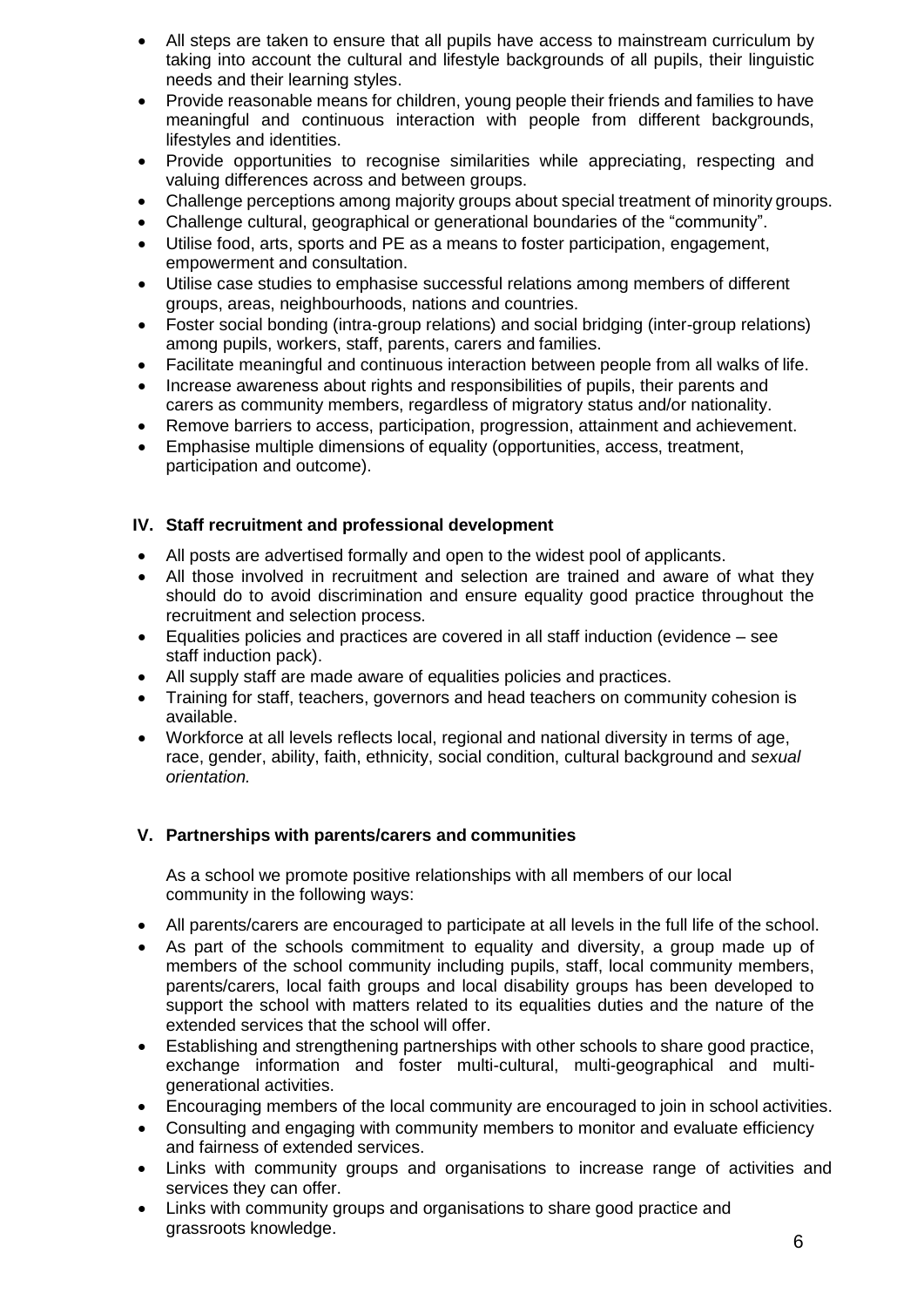- All steps are taken to ensure that all pupils have access to mainstream curriculum by taking into account the cultural and lifestyle backgrounds of all pupils, their linguistic needs and their learning styles.
- Provide reasonable means for children, young people their friends and families to have meaningful and continuous interaction with people from different backgrounds, lifestyles and identities.
- Provide opportunities to recognise similarities while appreciating, respecting and valuing differences across and between groups.
- Challenge perceptions among majority groups about special treatment of minority groups.
- Challenge cultural, geographical or generational boundaries of the "community".
- Utilise food, arts, sports and PE as a means to foster participation, engagement, empowerment and consultation.
- Utilise case studies to emphasise successful relations among members of different groups, areas, neighbourhoods, nations and countries.
- Foster social bonding (intra-group relations) and social bridging (inter-group relations) among pupils, workers, staff, parents, carers and families.
- Facilitate meaningful and continuous interaction between people from all walks of life.
- Increase awareness about rights and responsibilities of pupils, their parents and carers as community members, regardless of migratory status and/or nationality.
- Remove barriers to access, participation, progression, attainment and achievement.
- Emphasise multiple dimensions of equality (opportunities, access, treatment, participation and outcome).

### **IV. Staff recruitment and professional development**

- All posts are advertised formally and open to the widest pool of applicants.
- All those involved in recruitment and selection are trained and aware of what they should do to avoid discrimination and ensure equality good practice throughout the recruitment and selection process.
- Equalities policies and practices are covered in all staff induction (evidence see staff induction pack).
- All supply staff are made aware of equalities policies and practices.
- Training for staff, teachers, governors and head teachers on community cohesion is available.
- Workforce at all levels reflects local, regional and national diversity in terms of age, race, gender, ability, faith, ethnicity, social condition, cultural background and *sexual orientation.*

### **V. Partnerships with parents/carers and communities**

As a school we promote positive relationships with all members of our local community in the following ways:

- All parents/carers are encouraged to participate at all levels in the full life of the school.
- As part of the schools commitment to equality and diversity, a group made up of members of the school community including pupils, staff, local community members, parents/carers, local faith groups and local disability groups has been developed to support the school with matters related to its equalities duties and the nature of the extended services that the school will offer.
- Establishing and strengthening partnerships with other schools to share good practice, exchange information and foster multi-cultural, multi-geographical and multigenerational activities.
- Encouraging members of the local community are encouraged to join in school activities.
- Consulting and engaging with community members to monitor and evaluate efficiency and fairness of extended services.
- Links with community groups and organisations to increase range of activities and services they can offer.
- Links with community groups and organisations to share good practice and grassroots knowledge.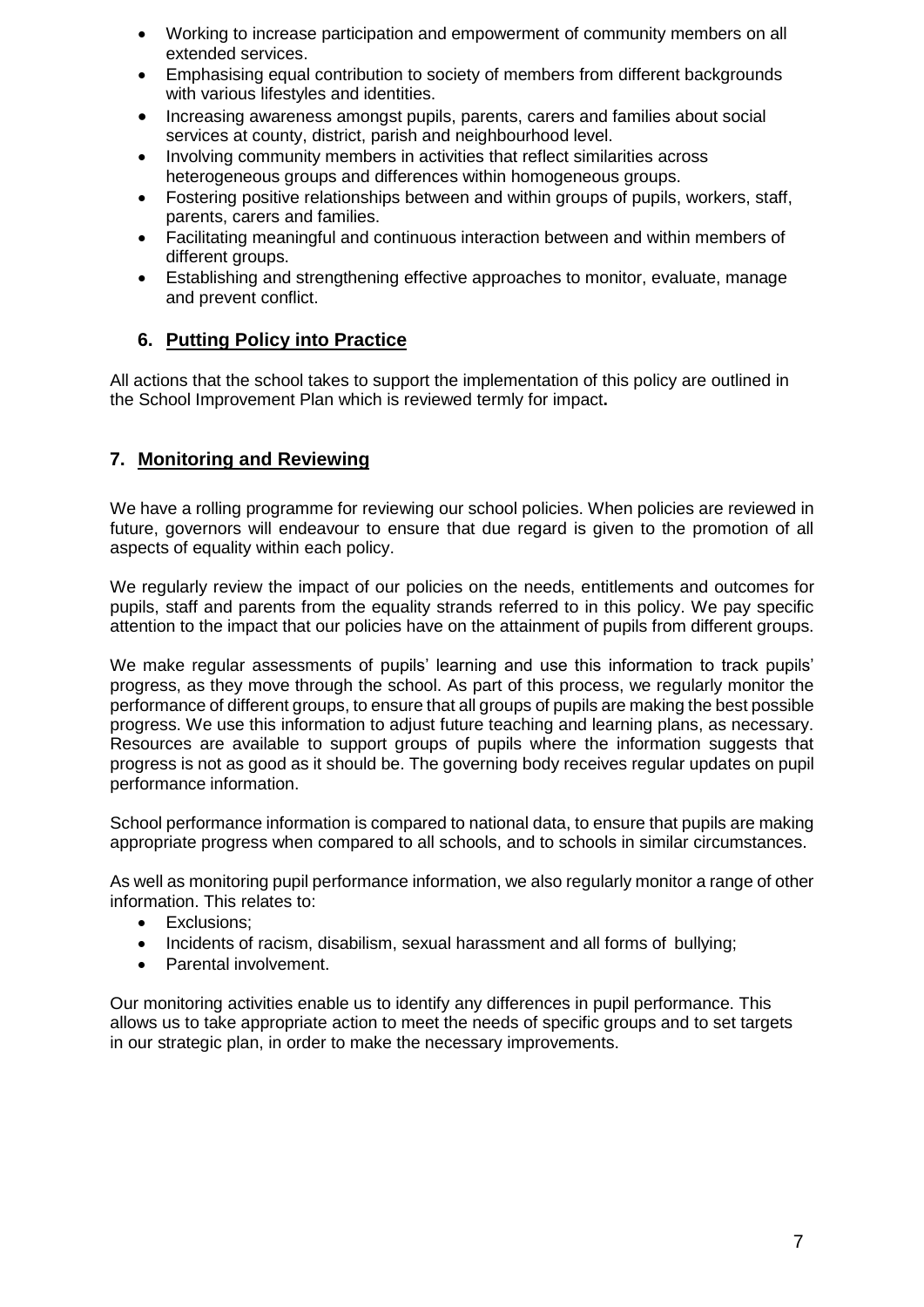- Working to increase participation and empowerment of community members on all extended services.
- Emphasising equal contribution to society of members from different backgrounds with various lifestyles and identities.
- Increasing awareness amongst pupils, parents, carers and families about social services at county, district, parish and neighbourhood level.
- Involving community members in activities that reflect similarities across heterogeneous groups and differences within homogeneous groups.
- Fostering positive relationships between and within groups of pupils, workers, staff, parents, carers and families.
- Facilitating meaningful and continuous interaction between and within members of different groups.
- Establishing and strengthening effective approaches to monitor, evaluate, manage and prevent conflict.

# **6. Putting Policy into Practice**

All actions that the school takes to support the implementation of this policy are outlined in the School Improvement Plan which is reviewed termly for impact**.**

# **7. Monitoring and Reviewing**

We have a rolling programme for reviewing our school policies. When policies are reviewed in future, governors will endeavour to ensure that due regard is given to the promotion of all aspects of equality within each policy.

We regularly review the impact of our policies on the needs, entitlements and outcomes for pupils, staff and parents from the equality strands referred to in this policy. We pay specific attention to the impact that our policies have on the attainment of pupils from different groups.

We make regular assessments of pupils' learning and use this information to track pupils' progress, as they move through the school. As part of this process, we regularly monitor the performance of different groups, to ensure that all groups of pupils are making the best possible progress. We use this information to adjust future teaching and learning plans, as necessary. Resources are available to support groups of pupils where the information suggests that progress is not as good as it should be. The governing body receives regular updates on pupil performance information.

School performance information is compared to national data, to ensure that pupils are making appropriate progress when compared to all schools, and to schools in similar circumstances.

As well as monitoring pupil performance information, we also regularly monitor a range of other information. This relates to:

- Exclusions;
- Incidents of racism, disabilism, sexual harassment and all forms of bullying;
- Parental involvement.

Our monitoring activities enable us to identify any differences in pupil performance. This allows us to take appropriate action to meet the needs of specific groups and to set targets in our strategic plan, in order to make the necessary improvements.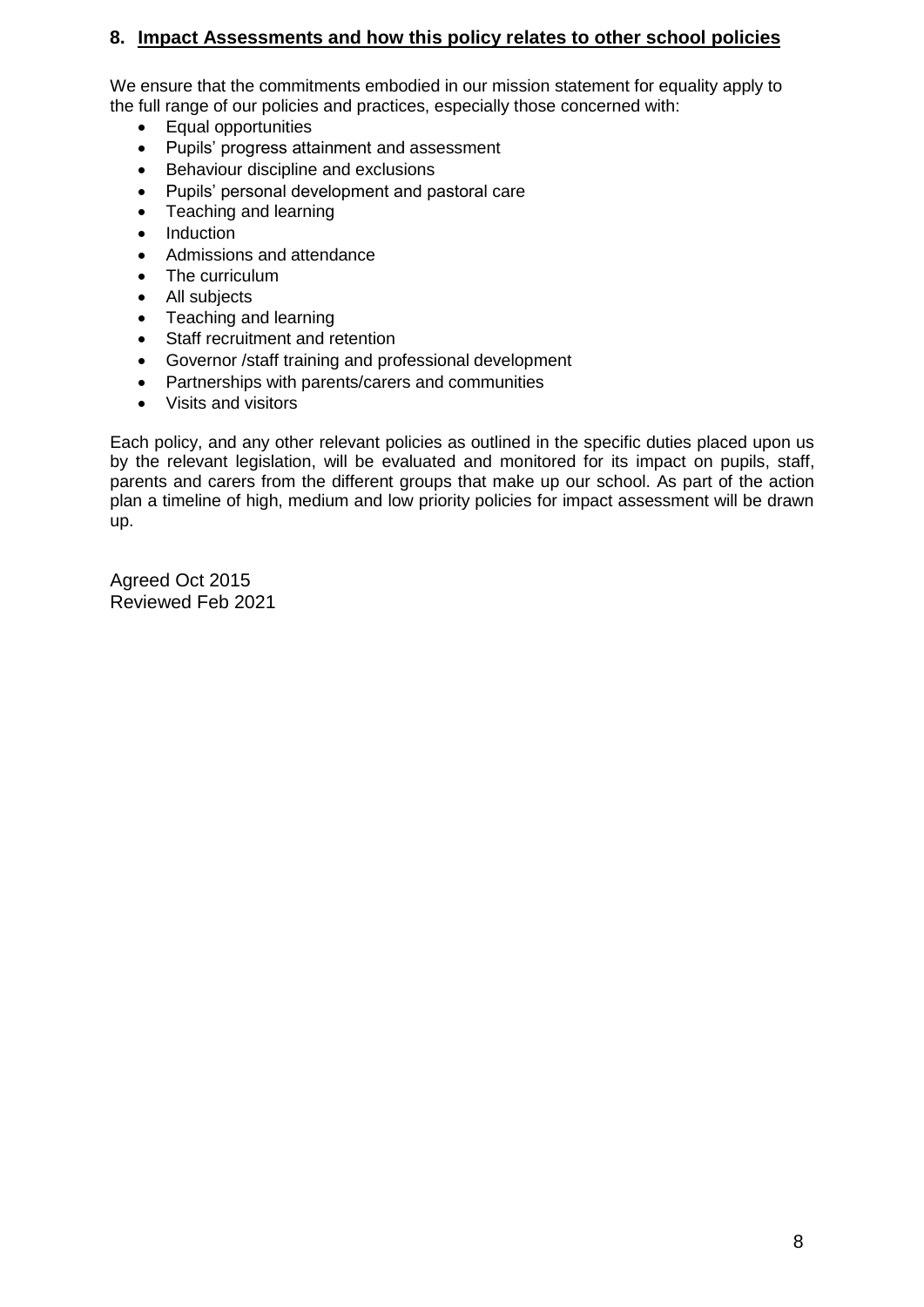# **8. Impact Assessments and how this policy relates to other school policies**

We ensure that the commitments embodied in our mission statement for equality apply to the full range of our policies and practices, especially those concerned with:

- Equal opportunities
- Pupils' progress attainment and assessment
- Behaviour discipline and exclusions
- Pupils' personal development and pastoral care
- Teaching and learning
- Induction
- Admissions and attendance
- The curriculum
- All subjects
- Teaching and learning
- Staff recruitment and retention
- Governor /staff training and professional development
- Partnerships with parents/carers and communities
- Visits and visitors

Each policy, and any other relevant policies as outlined in the specific duties placed upon us by the relevant legislation, will be evaluated and monitored for its impact on pupils, staff, parents and carers from the different groups that make up our school. As part of the action plan a timeline of high, medium and low priority policies for impact assessment will be drawn up.

Agreed Oct 2015 Reviewed Feb 2021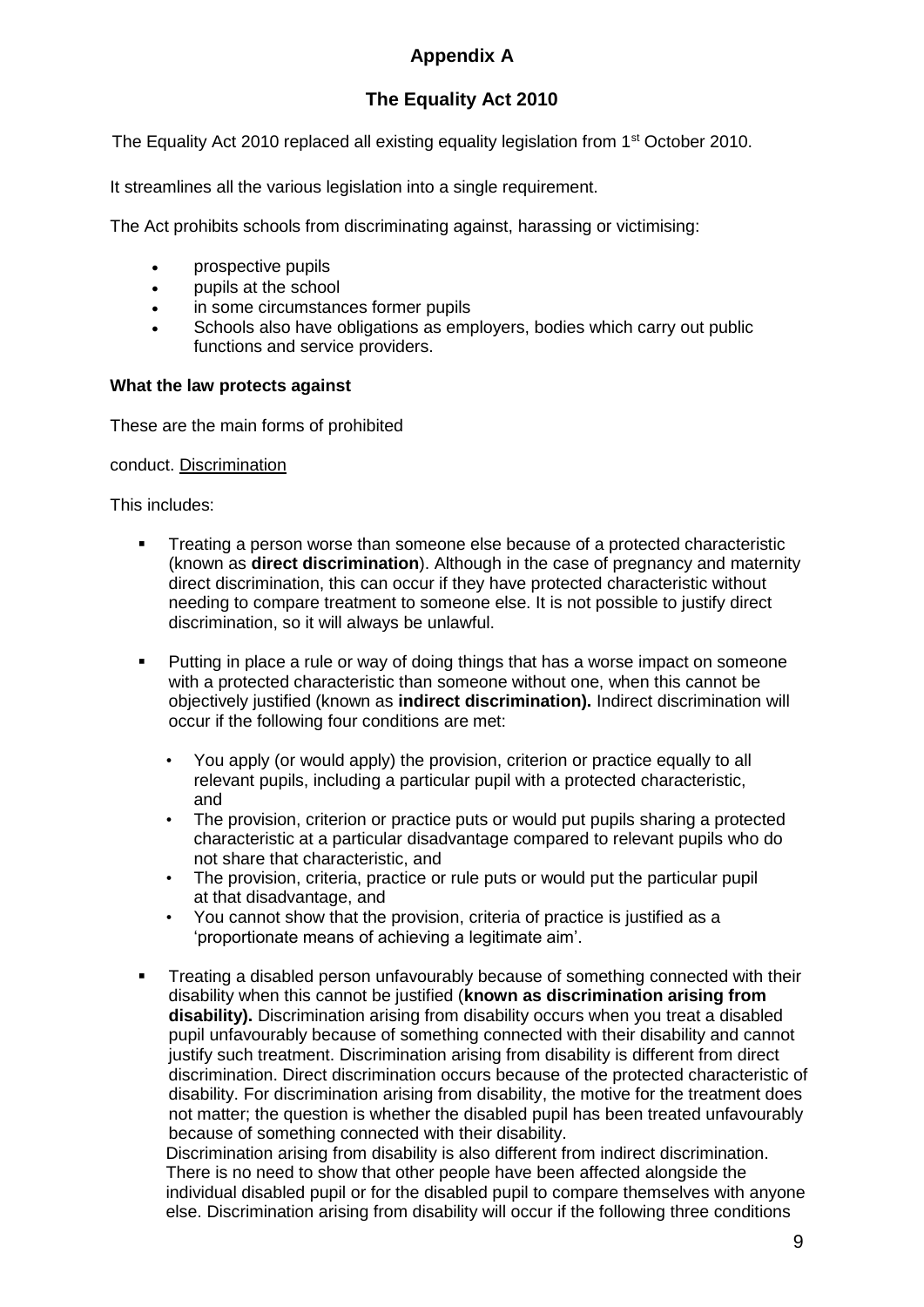# **Appendix A**

# **The Equality Act 2010**

The Equality Act 2010 replaced all existing equality legislation from 1<sup>st</sup> October 2010.

It streamlines all the various legislation into a single requirement.

The Act prohibits schools from discriminating against, harassing or victimising:

- prospective pupils
- pupils at the school
- in some circumstances former pupils
- Schools also have obligations as employers, bodies which carry out public functions and service providers.

### **What the law protects against**

These are the main forms of prohibited

conduct. Discrimination

This includes:

- Treating a person worse than someone else because of a protected characteristic (known as **direct discrimination**). Although in the case of pregnancy and maternity direct discrimination, this can occur if they have protected characteristic without needing to compare treatment to someone else. It is not possible to justify direct discrimination, so it will always be unlawful.
- Putting in place a rule or way of doing things that has a worse impact on someone with a protected characteristic than someone without one, when this cannot be objectively justified (known as **indirect discrimination).** Indirect discrimination will occur if the following four conditions are met:
	- You apply (or would apply) the provision, criterion or practice equally to all relevant pupils, including a particular pupil with a protected characteristic, and
	- The provision, criterion or practice puts or would put pupils sharing a protected characteristic at a particular disadvantage compared to relevant pupils who do not share that characteristic, and
	- The provision, criteria, practice or rule puts or would put the particular pupil at that disadvantage, and
	- You cannot show that the provision, criteria of practice is justified as a 'proportionate means of achieving a legitimate aim'.
- Treating a disabled person unfavourably because of something connected with their disability when this cannot be justified (**known as discrimination arising from disability).** Discrimination arising from disability occurs when you treat a disabled pupil unfavourably because of something connected with their disability and cannot justify such treatment. Discrimination arising from disability is different from direct discrimination. Direct discrimination occurs because of the protected characteristic of disability. For discrimination arising from disability, the motive for the treatment does not matter; the question is whether the disabled pupil has been treated unfavourably because of something connected with their disability.

Discrimination arising from disability is also different from indirect discrimination. There is no need to show that other people have been affected alongside the individual disabled pupil or for the disabled pupil to compare themselves with anyone else. Discrimination arising from disability will occur if the following three conditions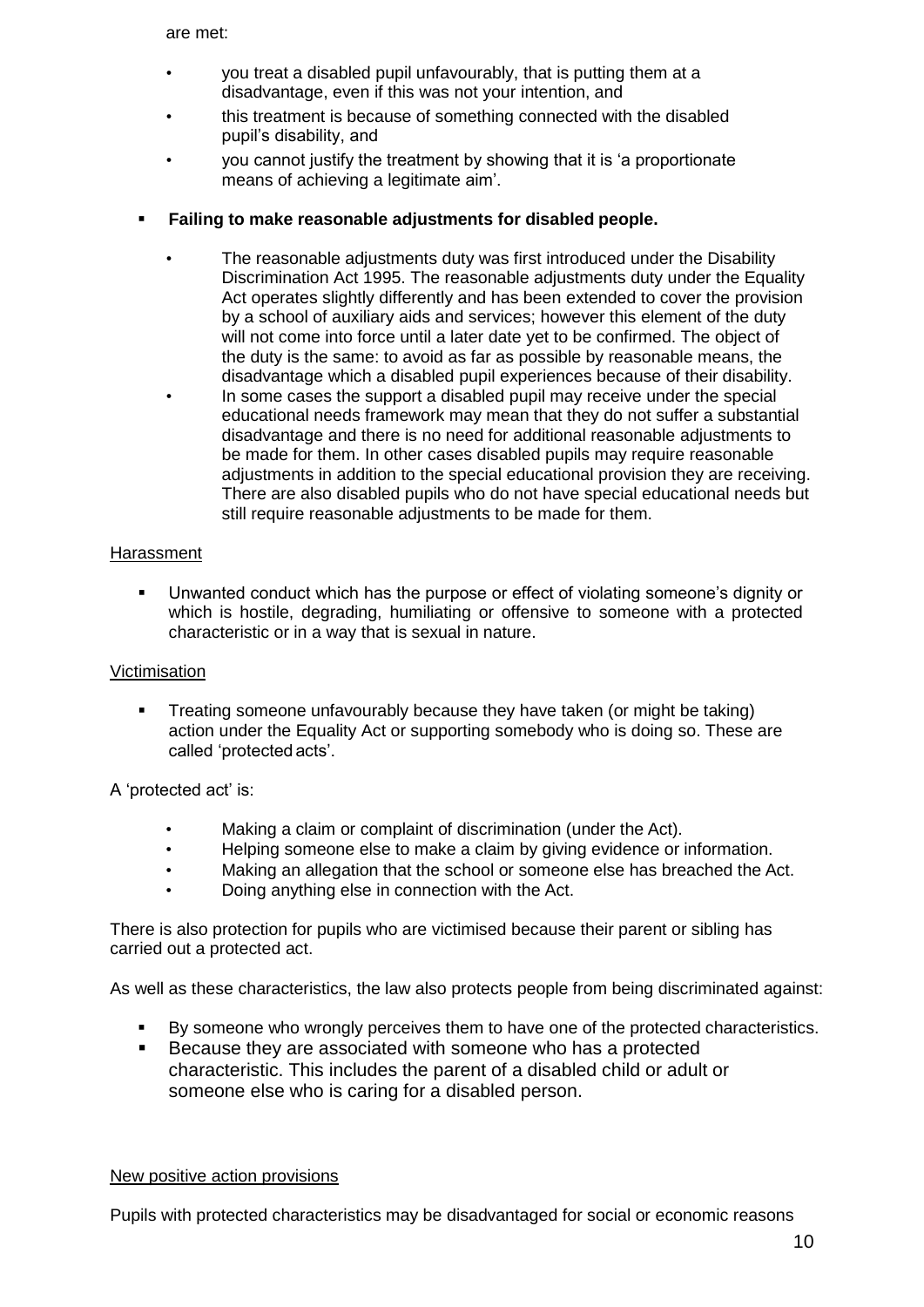are met:

- you treat a disabled pupil unfavourably, that is putting them at a disadvantage, even if this was not your intention, and
- this treatment is because of something connected with the disabled pupil's disability, and
- you cannot justify the treatment by showing that it is 'a proportionate means of achieving a legitimate aim'.
- **Failing to make reasonable adjustments for disabled people.**
	- The reasonable adjustments duty was first introduced under the Disability Discrimination Act 1995. The reasonable adjustments duty under the Equality Act operates slightly differently and has been extended to cover the provision by a school of auxiliary aids and services; however this element of the duty will not come into force until a later date yet to be confirmed. The object of the duty is the same: to avoid as far as possible by reasonable means, the disadvantage which a disabled pupil experiences because of their disability.
	- In some cases the support a disabled pupil may receive under the special educational needs framework may mean that they do not suffer a substantial disadvantage and there is no need for additional reasonable adjustments to be made for them. In other cases disabled pupils may require reasonable adjustments in addition to the special educational provision they are receiving. There are also disabled pupils who do not have special educational needs but still require reasonable adjustments to be made for them.

### Harassment

 Unwanted conduct which has the purpose or effect of violating someone's dignity or which is hostile, degrading, humiliating or offensive to someone with a protected characteristic or in a way that is sexual in nature.

### Victimisation

 Treating someone unfavourably because they have taken (or might be taking) action under the Equality Act or supporting somebody who is doing so. These are called 'protected acts'.

A 'protected act' is:

- Making a claim or complaint of discrimination (under the Act).
- Helping someone else to make a claim by giving evidence or information.
- Making an allegation that the school or someone else has breached the Act.
- Doing anything else in connection with the Act.

There is also protection for pupils who are victimised because their parent or sibling has carried out a protected act.

As well as these characteristics, the law also protects people from being discriminated against:

- By someone who wrongly perceives them to have one of the protected characteristics.
- **Because they are associated with someone who has a protected** characteristic. This includes the parent of a disabled child or adult or someone else who is caring for a disabled person.

### New positive action provisions

Pupils with protected characteristics may be disadvantaged for social or economic reasons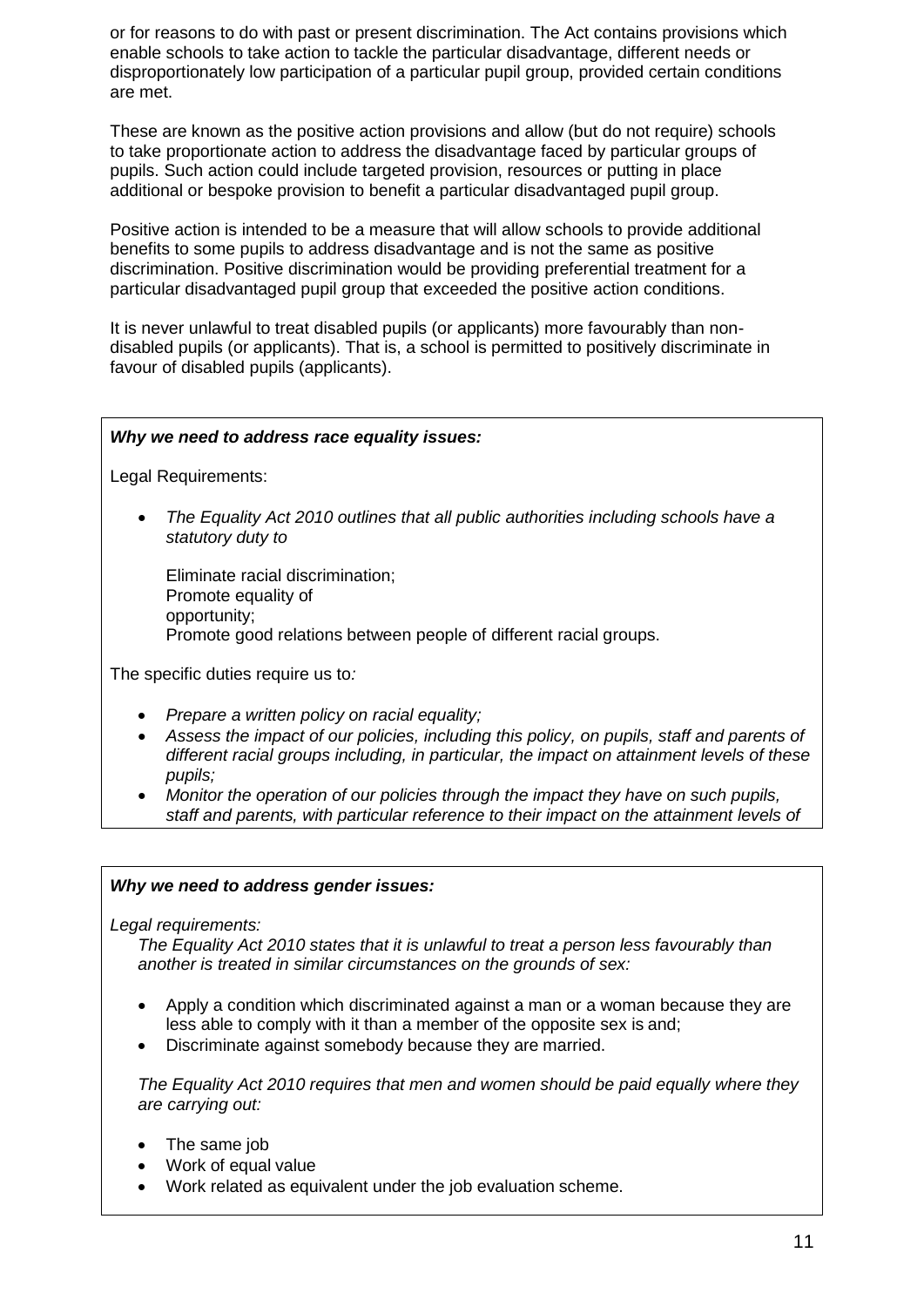or for reasons to do with past or present discrimination. The Act contains provisions which enable schools to take action to tackle the particular disadvantage, different needs or disproportionately low participation of a particular pupil group, provided certain conditions are met.

These are known as the positive action provisions and allow (but do not require) schools to take proportionate action to address the disadvantage faced by particular groups of pupils. Such action could include targeted provision, resources or putting in place additional or bespoke provision to benefit a particular disadvantaged pupil group.

Positive action is intended to be a measure that will allow schools to provide additional benefits to some pupils to address disadvantage and is not the same as positive discrimination. Positive discrimination would be providing preferential treatment for a particular disadvantaged pupil group that exceeded the positive action conditions.

It is never unlawful to treat disabled pupils (or applicants) more favourably than nondisabled pupils (or applicants). That is, a school is permitted to positively discriminate in favour of disabled pupils (applicants).

### *Why we need to address race equality issues:*

Legal Requirements:

 *The Equality Act 2010 outlines that all public authorities including schools have a statutory duty to*

Eliminate racial discrimination; Promote equality of opportunity; Promote good relations between people of different racial groups.

The specific duties require us to*:*

- *Prepare a written policy on racial equality;*
- *Assess the impact of our policies, including this policy, on pupils, staff and parents of different racial groups including, in particular, the impact on attainment levels of these pupils;*
- *Monitor the operation of our policies through the impact they have on such pupils, staff and parents, with particular reference to their impact on the attainment levels of*

#### *Why we need to address gender issues:*

*Legal requirements:*

*such pupils.*

*The Equality Act 2010 states that it is unlawful to treat a person less favourably than another is treated in similar circumstances on the grounds of sex:*

- Apply a condition which discriminated against a man or a woman because they are less able to comply with it than a member of the opposite sex is and;
- Discriminate against somebody because they are married.

*The Equality Act 2010 requires that men and women should be paid equally where they are carrying out:*

- The same job
- Work of equal value
- Work related as equivalent under the job evaluation scheme.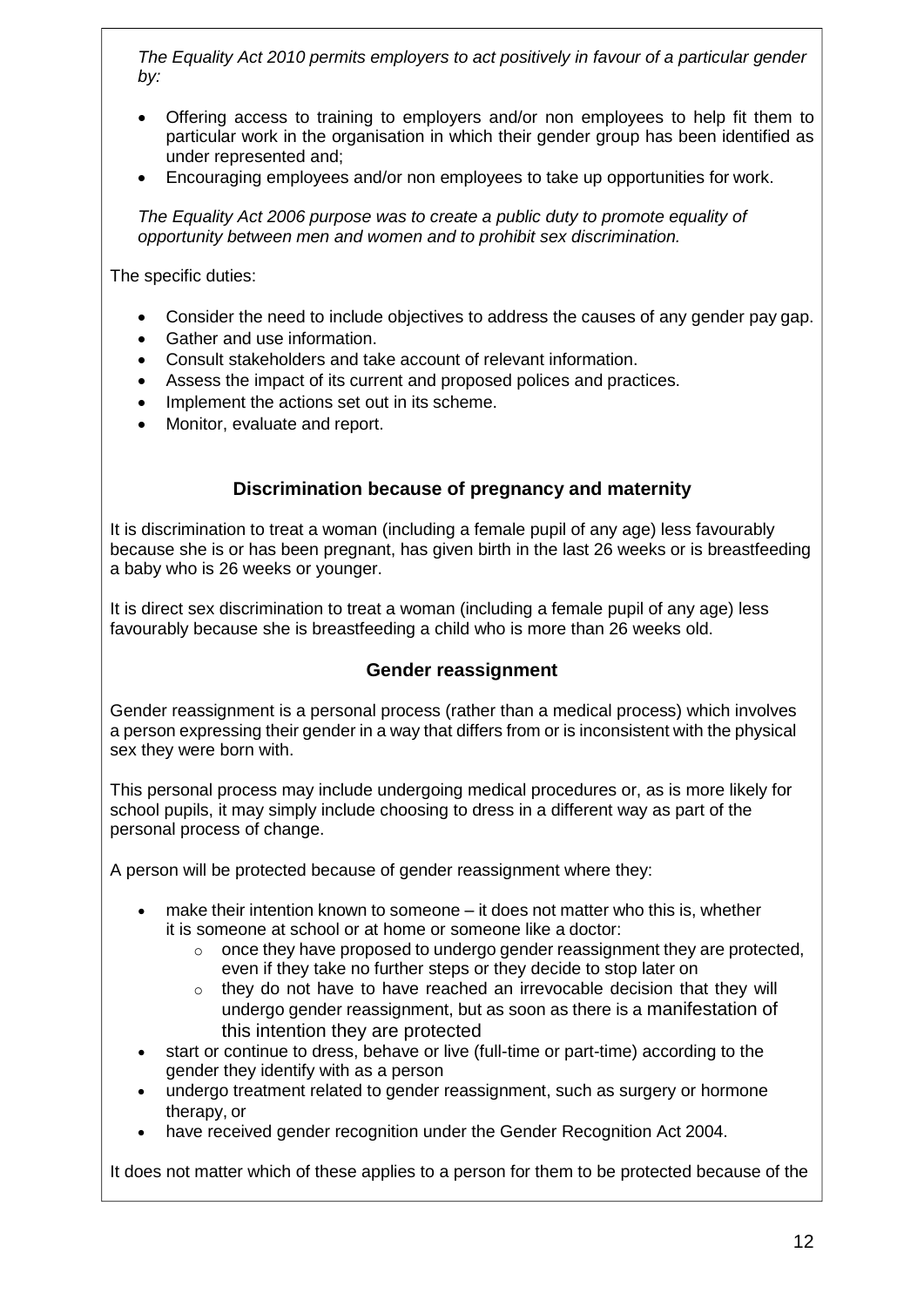*The Equality Act 2010 permits employers to act positively in favour of a particular gender by:*

- Offering access to training to employers and/or non employees to help fit them to particular work in the organisation in which their gender group has been identified as under represented and;
- Encouraging employees and/or non employees to take up opportunities for work.

*The Equality Act 2006 purpose was to create a public duty to promote equality of opportunity between men and women and to prohibit sex discrimination.*

The specific duties:

- Consider the need to include objectives to address the causes of any gender pay gap.
- Gather and use information.
- Consult stakeholders and take account of relevant information.
- Assess the impact of its current and proposed polices and practices.
- Implement the actions set out in its scheme.
- Monitor, evaluate and report.

# **Discrimination because of pregnancy and maternity**

It is discrimination to treat a woman (including a female pupil of any age) less favourably because she is or has been pregnant, has given birth in the last 26 weeks or is breastfeeding a baby who is 26 weeks or younger.

It is direct sex discrimination to treat a woman (including a female pupil of any age) less favourably because she is breastfeeding a child who is more than 26 weeks old.

# **Gender reassignment**

Gender reassignment is a personal process (rather than a medical process) which involves a person expressing their gender in a way that differs from or is inconsistent with the physical sex they were born with.

This personal process may include undergoing medical procedures or, as is more likely for school pupils, it may simply include choosing to dress in a different way as part of the personal process of change.

A person will be protected because of gender reassignment where they:

- make their intention known to someone it does not matter who this is, whether it is someone at school or at home or someone like a doctor:
	- $\circ$  once they have proposed to undergo gender reassignment they are protected. even if they take no further steps or they decide to stop later on
	- $\circ$  they do not have to have reached an irrevocable decision that they will undergo gender reassignment, but as soon as there is a manifestation of this intention they are protected
- start or continue to dress, behave or live (full-time or part-time) according to the gender they identify with as a person
- undergo treatment related to gender reassignment, such as surgery or hormone therapy, or
- have received gender recognition under the Gender Recognition Act 2004.

It does not matter which of these applies to a person for them to be protected because of the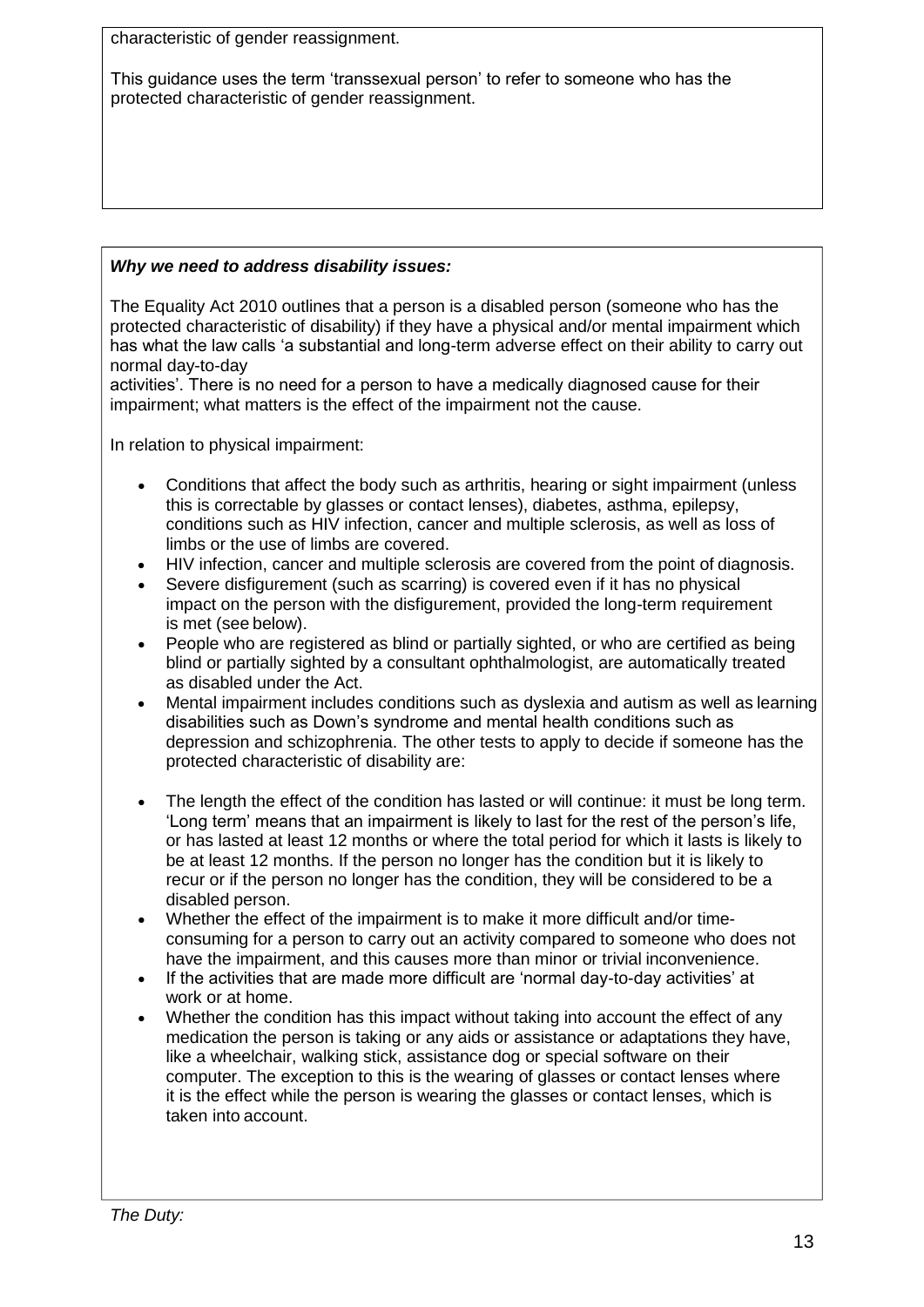characteristic of gender reassignment.

This guidance uses the term 'transsexual person' to refer to someone who has the protected characteristic of gender reassignment.

# *Why we need to address disability issues:*

The Equality Act 2010 outlines that a person is a disabled person (someone who has the protected characteristic of disability) if they have a physical and/or mental impairment which has what the law calls 'a substantial and long-term adverse effect on their ability to carry out normal day-to-day

activities'. There is no need for a person to have a medically diagnosed cause for their impairment; what matters is the effect of the impairment not the cause.

In relation to physical impairment:

- Conditions that affect the body such as arthritis, hearing or sight impairment (unless this is correctable by glasses or contact lenses), diabetes, asthma, epilepsy, conditions such as HIV infection, cancer and multiple sclerosis, as well as loss of limbs or the use of limbs are covered.
- HIV infection, cancer and multiple sclerosis are covered from the point of diagnosis.
- Severe disfigurement (such as scarring) is covered even if it has no physical impact on the person with the disfigurement, provided the long-term requirement is met (see below).
- People who are registered as blind or partially sighted, or who are certified as being blind or partially sighted by a consultant ophthalmologist, are automatically treated as disabled under the Act.
- Mental impairment includes conditions such as dyslexia and autism as well as learning disabilities such as Down's syndrome and mental health conditions such as depression and schizophrenia. The other tests to apply to decide if someone has the protected characteristic of disability are:
- The length the effect of the condition has lasted or will continue: it must be long term. 'Long term' means that an impairment is likely to last for the rest of the person's life, or has lasted at least 12 months or where the total period for which it lasts is likely to be at least 12 months. If the person no longer has the condition but it is likely to recur or if the person no longer has the condition, they will be considered to be a disabled person.
- Whether the effect of the impairment is to make it more difficult and/or timeconsuming for a person to carry out an activity compared to someone who does not have the impairment, and this causes more than minor or trivial inconvenience.
- If the activities that are made more difficult are 'normal day-to-day activities' at work or at home.
- Whether the condition has this impact without taking into account the effect of any medication the person is taking or any aids or assistance or adaptations they have, like a wheelchair, walking stick, assistance dog or special software on their computer. The exception to this is the wearing of glasses or contact lenses where it is the effect while the person is wearing the glasses or contact lenses, which is taken into account.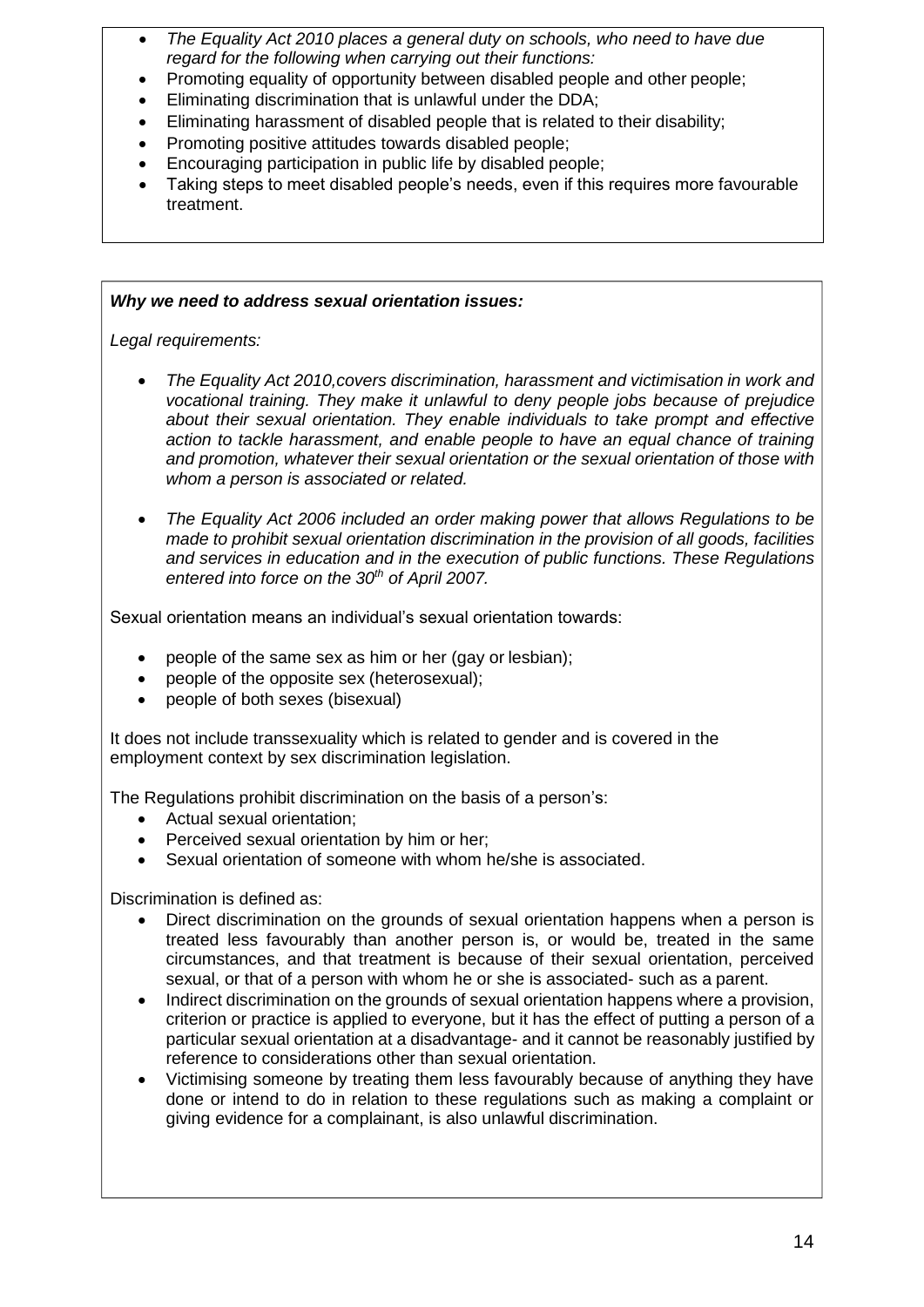- *The Equality Act 2010 places a general duty on schools, who need to have due regard for the following when carrying out their functions:*
- Promoting equality of opportunity between disabled people and other people:
- Eliminating discrimination that is unlawful under the DDA;
- Eliminating harassment of disabled people that is related to their disability;
- Promoting positive attitudes towards disabled people;
- Encouraging participation in public life by disabled people;
- Taking steps to meet disabled people's needs, even if this requires more favourable treatment.

### *Why we need to address sexual orientation issues:*

*Legal requirements:*

- *The Equality Act 2010,covers discrimination, harassment and victimisation in work and vocational training. They make it unlawful to deny people jobs because of prejudice about their sexual orientation. They enable individuals to take prompt and effective action to tackle harassment, and enable people to have an equal chance of training and promotion, whatever their sexual orientation or the sexual orientation of those with whom a person is associated or related.*
- *The Equality Act 2006 included an order making power that allows Regulations to be made to prohibit sexual orientation discrimination in the provision of all goods, facilities and services in education and in the execution of public functions. These Regulations entered into force on the 30th of April 2007.*

Sexual orientation means an individual's sexual orientation towards:

- people of the same sex as him or her (gay or lesbian);
- people of the opposite sex (heterosexual);
- people of both sexes (bisexual)

It does not include transsexuality which is related to gender and is covered in the employment context by sex discrimination legislation.

The Regulations prohibit discrimination on the basis of a person's:

- Actual sexual orientation;
- Perceived sexual orientation by him or her;
- Sexual orientation of someone with whom he/she is associated.

Discrimination is defined as:

- Direct discrimination on the grounds of sexual orientation happens when a person is treated less favourably than another person is, or would be, treated in the same circumstances, and that treatment is because of their sexual orientation, perceived sexual, or that of a person with whom he or she is associated- such as a parent.
- Indirect discrimination on the grounds of sexual orientation happens where a provision, criterion or practice is applied to everyone, but it has the effect of putting a person of a particular sexual orientation at a disadvantage- and it cannot be reasonably justified by reference to considerations other than sexual orientation.
- Victimising someone by treating them less favourably because of anything they have done or intend to do in relation to these regulations such as making a complaint or giving evidence for a complainant, is also unlawful discrimination.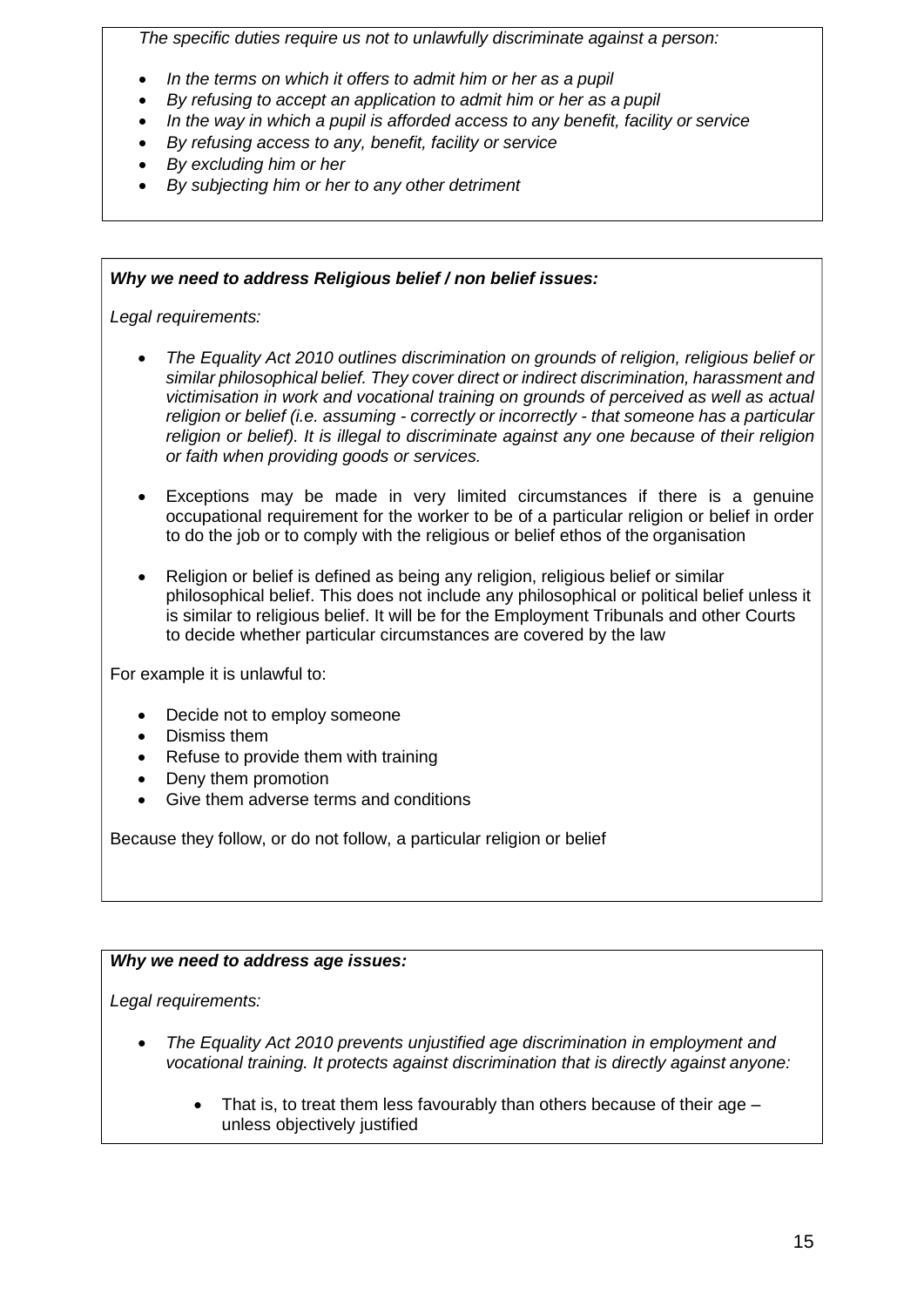*The specific duties require us not to unlawfully discriminate against a person:*

- *In the terms on which it offers to admit him or her as a pupil*
- *By refusing to accept an application to admit him or her as a pupil*
- *In the way in which a pupil is afforded access to any benefit, facility or service*
- *By refusing access to any, benefit, facility or service*
- *By excluding him or her*
- *By subjecting him or her to any other detriment*

# *Why we need to address Religious belief / non belief issues:*

*Legal requirements:*

- *The Equality Act 2010 outlines discrimination on grounds of religion, religious belief or similar philosophical belief. They cover direct or indirect discrimination, harassment and victimisation in work and vocational training on grounds of perceived as well as actual religion or belief (i.e. assuming - correctly or incorrectly - that someone has a particular religion or belief). It is illegal to discriminate against any one because of their religion or faith when providing goods or services.*
- Exceptions may be made in very limited circumstances if there is a genuine occupational requirement for the worker to be of a particular religion or belief in order to do the job or to comply with the religious or belief ethos of the organisation
- Religion or belief is defined as being any religion, religious belief or similar philosophical belief. This does not include any philosophical or political belief unless it is similar to religious belief. It will be for the Employment Tribunals and other Courts to decide whether particular circumstances are covered by the law

For example it is unlawful to:

- Decide not to employ someone
- Dismiss them
- Refuse to provide them with training
- Deny them promotion
- Give them adverse terms and conditions

Because they follow, or do not follow, a particular religion or belief

# *Why we need to address age issues:*

*Legal requirements:*

- *The Equality Act 2010 prevents unjustified age discrimination in employment and vocational training. It protects against discrimination that is directly against anyone:*
	- That is, to treat them less favourably than others because of their age unless objectively justified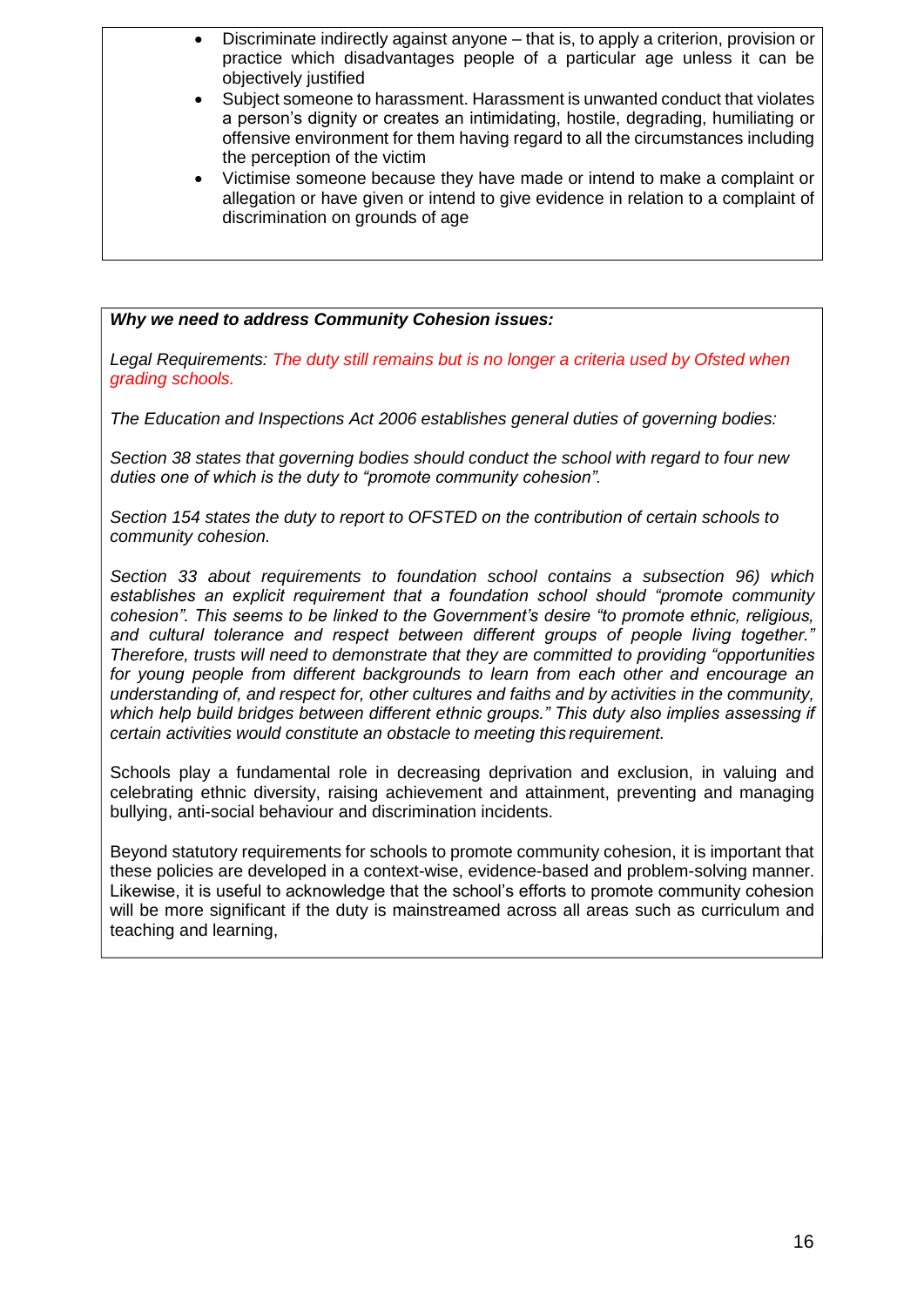- Discriminate indirectly against anyone that is, to apply a criterion, provision or practice which disadvantages people of a particular age unless it can be objectively justified
- Subject someone to harassment. Harassment is unwanted conduct that violates a person's dignity or creates an intimidating, hostile, degrading, humiliating or offensive environment for them having regard to all the circumstances including the perception of the victim
- Victimise someone because they have made or intend to make a complaint or allegation or have given or intend to give evidence in relation to a complaint of discrimination on grounds of age

*Why we need to address Community Cohesion issues:*

*Legal Requirements: The duty still remains but is no longer a criteria used by Ofsted when grading schools.*

*The Education and Inspections Act 2006 establishes general duties of governing bodies:*

*Section 38 states that governing bodies should conduct the school with regard to four new duties one of which is the duty to "promote community cohesion".*

*Section 154 states the duty to report to OFSTED on the contribution of certain schools to community cohesion.*

*Section 33 about requirements to foundation school contains a subsection 96) which establishes an explicit requirement that a foundation school should "promote community cohesion". This seems to be linked to the Government's desire "to promote ethnic, religious, and cultural tolerance and respect between different groups of people living together." Therefore, trusts will need to demonstrate that they are committed to providing "opportunities for young people from different backgrounds to learn from each other and encourage an understanding of, and respect for, other cultures and faiths and by activities in the community, which help build bridges between different ethnic groups." This duty also implies assessing if certain activities would constitute an obstacle to meeting this requirement.*

Schools play a fundamental role in decreasing deprivation and exclusion, in valuing and celebrating ethnic diversity, raising achievement and attainment, preventing and managing bullying, anti-social behaviour and discrimination incidents.

Beyond statutory requirements for schools to promote community cohesion, it is important that these policies are developed in a context-wise, evidence-based and problem-solving manner. Likewise, it is useful to acknowledge that the school's efforts to promote community cohesion will be more significant if the duty is mainstreamed across all areas such as curriculum and teaching and learning,